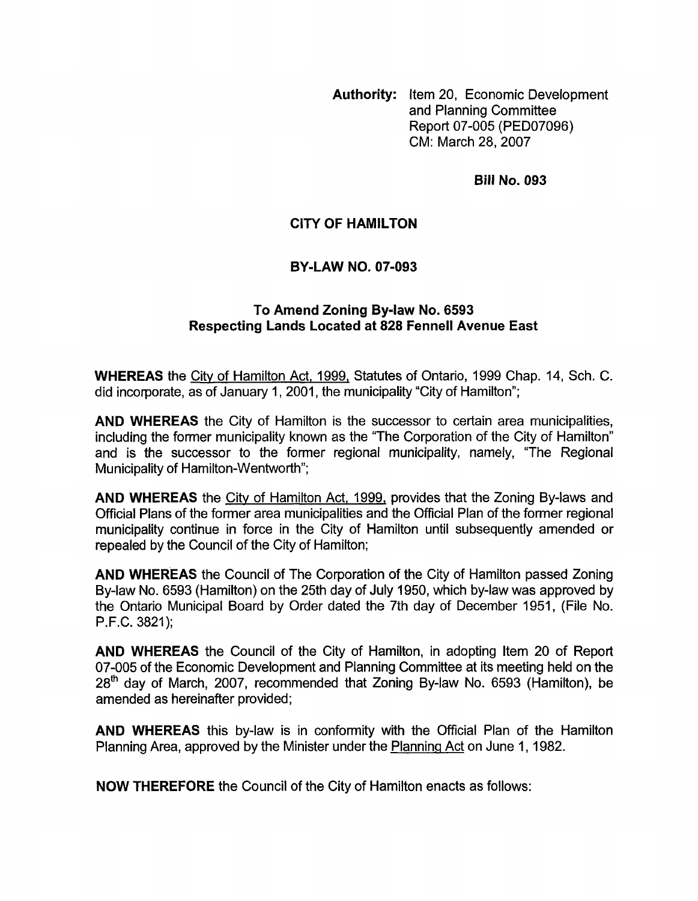**Authority:** Item 20, Economic Development and Planning Committee Report 07-005 (PED07096) CM: March 28,2007

**Bill No. 093** 

## **CITY OF HAMILTON**

## **BY-LAW NO. 07-093**

## **To Amend Zoning By-law No. 6593 Respecting Lands Located at 828 Fennel1 Avenue East**

**WHEREAS** the City of Hamilton Act, 1999, Statutes of Ontario, 1999 Chap. 14, Sch. C. did incorporate, as of January 1, 2001, the municipality "City of Hamilton";

**AND WHEREAS** the City of Hamilton is the successor to certain area municipalities, including the former municipality known as the "The Corporation of the City of Hamilton" and is the successor to the former regional municipality, namely, "The Regional Municipality of Hamilton-Wentworth";

**AND WHEREAS** the Citv of Hamilton Act, 1999, provides that the Zoning By-laws and Official Plans of the former area municipalities and the Official Plan of the former regional municipality continue in force in the City of Hamilton until subsequently amended or repealed by the Council of the City of Hamilton;

**AND WHEREAS** the Council of The Corporation **of** the City of Hamilton passed Zoning By-law No. 6593 (Hamilton) on the 25th day of July 1950, which by-law was approved by the Ontario Municipal Board by Order dated the 7th day of December 1951, (File No. P.F.C. 3821);

**AND WHEREAS** the Council of the City of Hamilton, in adopting Item 20 of Report 07-005 of the Economic Development and Planning Committee at its meeting held on the  $28<sup>th</sup>$  day of March, 2007, recommended that Zoning By-law No. 6593 (Hamilton), be amended as hereinafter provided;

**AND WHEREAS** this by-law is in conformity with the Official Plan of the Hamilton Planning Area, approved by the Minister under the Planninq Act on June 1, 1982.

**NOW THEREFORE** the Council of the City of Hamilton enacts as follows: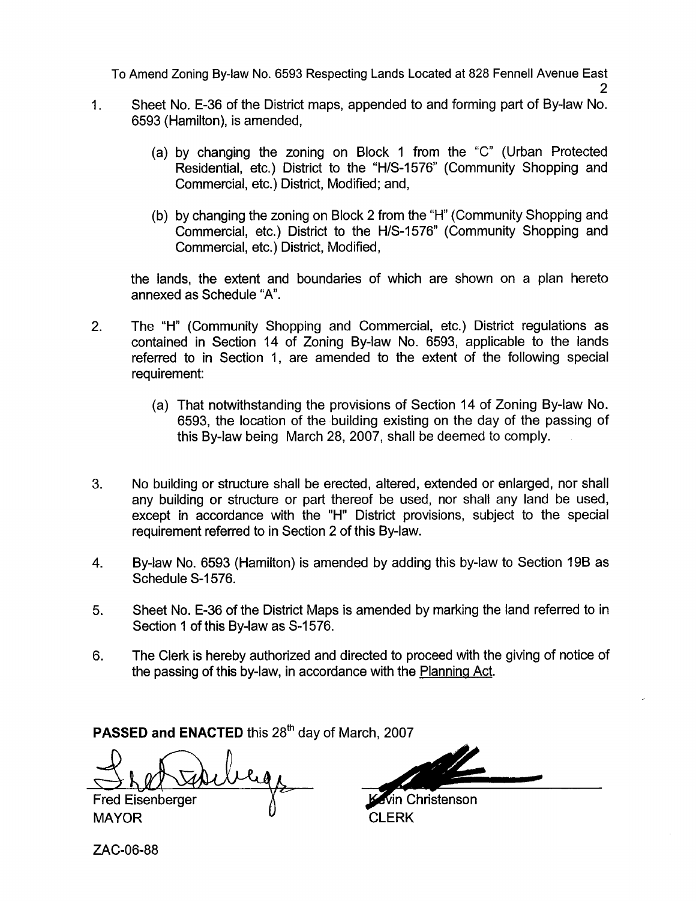To Amend Zoning By-law No. 6593 Respecting Lands Located at 828 Fennel1 Avenue East

- Sheet No. E-36 of the District maps, appended to and forming part of By-law No. 6593 (Hamilton), is amended, 1.
	- (a) by changing the zoning on Block 1 from the "C" (Urban Protected Residential, etc.) District to the "H/S-1576" (Community Shopping and Commercial, etc.) District, Modified; and,
	- (b) by changing the zoning on Block 2 from the "H" (Community Shopping and Commercial, etc.) District to the H/S-1576" (Community Shopping and Commercial, etc.) District, Modified,

the lands, the extent and boundaries of which are shown on a plan hereto annexed as Schedule "A'.

- 2. The "H" (Community Shopping and Commercial, etc.) District regulations as contained in Section 14 of Zoning By-law No. 6593, applicable to the lands referred to in Section 1, are amended to the extent of the following special requirement:
	- (a) That notwithstanding the provisions of Section 14 of Zoning By-law No. 6593, the location of the building existing on the day of the passing of this By-law being March 28, 2007, shall be deemed to comply.
- **3.** No building or structure shall be erected, altered, extended or enlarged, nor shall any building or structure or part thereof be used, nor shall any land be used, except in accordance with the "H" District provisions, subject to the special requirement referred to in Section 2 of this By-law.
- 4. By-law No. 6593 (Hamilton) is amended by adding this by-law to Section 196 as Schedule S-1576.
- **5.** Sheet No. E-36 of the District Maps is amended by marking the land referred to in Section 1 of this By-law as S-1576.
- 6. The Clerk is hereby authorized and directed to proceed with the giving of notice of the passing of this by-law, in accordance with the Planning Act.

**PASSED and ENACTED this 28<sup>th</sup> day of March, 2007** 

**Fred Eisenberger** 

MAYOR CLERK

*rn* in Christenson -

ZAC-06-88